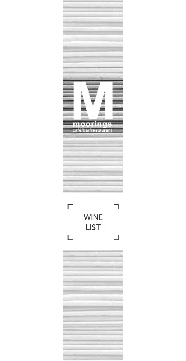



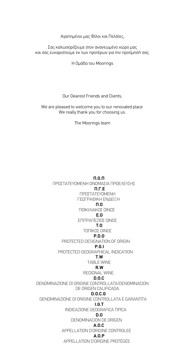Αγαπηµένοι µας Φίλοι και Πελάτες,

Σας καλωσορίζουµε στον ανανεωµένο χώρο µας και σας ευχαριστούµε εκ των προτέρων για την προτίµησή σας.

Η Οµάδα του Μoorings

Our Dearest Friends and Clients,

We are pleased to welcome you to our renovated place. We really thank you for choosing us.

The Moorings team

**Π.Ο.Π** ΠΡΟΣΤΑΤΕΥΟΜΕΝΗ ΟΝΟΜΑΣΙΑ ΠΡΟΕΛΕΥΣΗΣ **Π.Γ.Ε** ΠΡΟΣΤΑΤΕΥΟΜΕΝΗ ΓΕΩΓΡΑΦΙΚΗ ΕΝ∆ΕΙΞΗ **Π.Ο** ΠΟΙΚΙΛΙΑΚΟΣ ΟΙΝΟΣ **Ε.Ο** ΕΠΙΤΡΑΠΕΖΙΟΣ ΟΙΝΟΣ **Τ.Ο** ΤΟΠΙΚΟΣ ΟΙΝΟΣ **P.D.O** PROTECTED DESIGNATION OF ORIGIN **P.G.I** PROTECTED GEOGRAPHICAL INDICATION **T.W** TABLE WINE **R.W** REGIONAL WINE **D.O.C** DENOMINAZIONE DI ORIGINE CONTROLLATA/DENOMINACION DE ORIGEN CALIFICADA **D.O.C.G** DENOMINAZIONE DI ORIGINE CONTROLLATA E GARANTITA **I.G.T** INDICAZIONE GEOGRAFICA TIPICA **D.O** DENOMINACION DE ORIGEN **A.O.C** APPELLATION D'ORIGINE CONTROLEE **A.O.P** APPELLATION D'ORIGINE PROTÉGÉE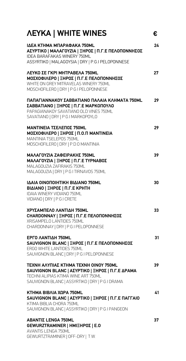| <b><i>NEYKA   WHITE WINES</i></b>                                                                                                                                                          | €  |
|--------------------------------------------------------------------------------------------------------------------------------------------------------------------------------------------|----|
| <b>IAEA KTHMA MNAPA@AKA 750ML</b><br>ΑΣΥΡΤΙΚΟ   ΜΑΛΑΓΟΥΖΙΑ   ΞΗΡΟΣ   Π.Γ.Ε ΠΕΛΟΠΟΝΝΗΣΟΣ<br><b>IDEA BARAFAKAS WINERY 750ML</b><br>ASSYRTIKO   MALAGOYSIA   DRY   P.G.I PELOPONNESE          | 24 |
| ΛΕΥΚΟ ΣΕ ΓΚΡΙ ΜΗΤΡΑΒΕΛΑ 750ML<br>ΜΟΣΧΟΦΙΛΕΡΟ   ΞΗΡΟΣ   Π.Γ.Ε ΠΕΛΟΠΟΝΝΗΣΟΣ<br>WHITE ON GREY MITRAVELAS WINERY 750ML<br>MOSCHOFILERO   DRY   P.G.I PELOPONNESE                               | 27 |
| ΠΑΠΑΓΙΑΝΝΑΚΟΥ ΣΑΒΒΑΤΙΑΝΟ ΠΑΛΑΙΑ ΚΛΗΜΑΤΑ 750ML<br>ΣΑΒΒΑΤΙΑΝΟ   ΞΗΡΟΣ   Π.Γ.Ε ΜΑΡΚΟΠΟΥΛΟ<br>PAPAGIANAKOY SAVATIANO OLD VINES 750ML<br>SAVATIANO   DRY   P.G.I MARKOPOYLO                     | 29 |
| <b>ΜΑΝΤΙΝΕΙΑ ΤΣΕΛΕΠΟΣ 750ΜL</b><br>ΜΟΣΧΟΦΙΛΕΡΟ   ΞΗΡΟΣ   Π.Ο.Π ΜΑΝΤΙΝΕΙΑ<br>MANTINIA TSELEPOS 750ML<br>MOSCHOFILERO   DRY   P.D.O MANTINIA                                                 | 29 |
| ΜΑΛΑΓΟΥΖΙΑ ΖΑΦΕΙΡΑΚΗΣ 750ΜL<br><b>ΜΑΛΑΓΟΥΖΙΑ   ΞΗΡΟΣ   Π.Γ.Ε ΤΥΡΝΑΒΟΣ</b><br>MALAGOUZIA ZAFIRAKIS 750ML<br>MALAGOUZIA   DRY   P.G.I TIRNAVOS 750ML                                         | 39 |
| IAAIA OINONOIHTIKH BIAIANO 750ML<br>ΒΙΔΙΑΝΟ   ΞΗΡΟΣ   Π.Γ.Ε ΚΡΗΤΗ<br>IDAIA WINERY VIDIANO 750ML<br>VIDIANO   DRY   P.G.I CRETE                                                             | 30 |
| ΧΡΥΣΑΜΠΕΛΟ ΛΑΝΤΙΔΗ 750ΜL<br>CHARDONNAY   ΞΗΡΟΣ   Π.Γ.Ε ΠΕΛΟΠΟΝΝΗΣΟΣ<br>XRISAMPELO LANTIDES 750ML<br>CHARDONNAY   DRY   P.G.I PELOPONNESE                                                   | 33 |
| ΕΡΓΟ ΛΑΝΤΙΔΗ 750ΜL<br>SAUVIGNON BLANC   ΞΗΡΟΣ   Π.Γ.Ε ΠΕΛΟΠΟΝΝΗΣΟΣ<br>ERGO WHITE LANTIDES 750MI<br>SAUVIGNON BLANC   DRY   P.G.I PELOPONNESE                                               | 31 |
| <b>ΤΕΧΝΗ ΑΛΥΠΙΑΣ ΚΤΗΜΑ ΤΕΧΝΗ ΟΙΝΟΥ 750ΜL</b><br>SAUVIGNON BLANC   ΑΣΥΡΤΙΚΟ   ΞΗΡΟΣ   Π.Γ.Ε ΔΡΑΜΑ<br>TECHNI ALIPIAS KTIMA WINE ART 750ML<br>SAUVIGNON BLANC   ASSYRTIKO   DRY   P.G.I DRAMA | 39 |
| ΚΤΗΜΑ ΒΙΒΛΙΑ ΧΩΡΑ 750ML<br>SAUVIGNON BLANC   ΑΣΥΡΤΙΚΟ   ΞΗΡΟΣ   Π.Γ.Ε ΠΑΓΓΑΙΟ<br>KTIMA BIBLIA CHORA 750ML<br>SAUVIGNON BLANC   ASSYRTIKO   DRY   P.G.I PANGEON                             | 41 |
| <b>ΑΒΑΝΤΙΣ LENGA 750ML</b><br>GEWURZTRAMINER   ΗΜΙΞΗΡΟΣ   Ε.Ο<br><b>AVANTIS LENGA 750ML</b><br>GEWURTZTRAMINER   OFF-DRY   T.W.                                                            | 37 |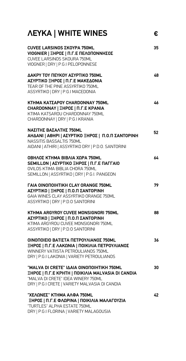| <b><i>NEYKA</i></b>   WHITE WINES | € |
|-----------------------------------|---|
|-----------------------------------|---|

| VIOGNIER   ΞΗΡΟΣ   Π.Γ.Ε ΠΕΛΟΠΟΝΝΗΣΟΣ<br>CUVEE LARSINOS SKOURA 750ML<br>VIOGNER   DRY   P.G.I PELOPONNESE                                                                              |    |
|----------------------------------------------------------------------------------------------------------------------------------------------------------------------------------------|----|
| ΔΑΚΡΥ ΤΟΥ ΠΕΥΚΟΥ ΑΣΥΡΤΙΚΟ 750ML<br>ΑΣΥΡΤΙΚΟ ΞΗΡΟΣ   Π.Γ.Ε ΜΑΚΕΔΟΝΙΑ<br>TEAR OF THE PINE ASSYRTIKO 750ML<br>ASSYRTIKO   DRY   P.G.I MACEDONIA                                           | 48 |
| KTHMA ΚΑΤΣΑΡΟΥ CHARDONNAY 750ML<br>CHARDONNAY   ΞΗΡΟΣ   Π.Γ.Ε ΚΡΑΝΙΑ<br>KTIMA KATSAROU CHARDONNAY 750ML<br>CHARDONNAY   DRY   P.G.I KRANIA                                             | 46 |
| ΝΑΣΙΤΗΣ ΒΑΣΑΛΤΗΣ 750ΜL<br>ΑΗΔΑΝΙ   ΑΘΗΡΙ   ΑΣΥΡΤΙΚΟ ΞΗΡΟΣ   Π.Ο.Π ΣΑΝΤΟΡΙΝΗ<br><b>NASSITIS BASSALTIS 750ML</b><br>AIDANI   ATHIRI   ASSYRTIKO DRY   P.D.O. SANTORINI                   | 52 |
| <b>ΟΒΗΛΟΣ ΚΤΗΜΑ ΒΙΒΛΙΑ ΧΩΡΑ 750ML</b><br><b>SEMILLON   ΑΣΥΡΤΙΚΟ ΞΗΡΟΣ   Π.Γ.Ε ΠΑΓΓΑΙΟ</b><br>OVILOS KTIMA BIBLIA CHORA 750ML<br>SEMILLON   ASSYRTIKO   DRY   P.G.I. PANGEON            | 64 |
| <b><i>TAIA OINONOIHTIKH CLAY ORANGE 750ML</i></b><br>ΑΣΥΡΤΙΚΟ   ΞΗΡΟΣ   Π.Ο.Π ΣΑΝΤΟΡΙΝΗ<br>GAIA WINES CLAY ASSYRTIKO ORANGE 750ML<br>ASSYRTIKO   DRY   P.D.O SANTORINI                 | 79 |
| KTHMA ARGYROY CUVEE MONSIGNORI 750ML<br>ΑΣΥΡΤΙΚΟ   ΞΗΡΟΣ   Π.Ο.Π ΣΑΝΤΟΡΙΝΗ<br>KTIMA ARGYROU CUVEE MONSIGNORI 750ML<br>ASSYRTIKO   DRY   P.D.O SANTORINI                                | 88 |
| ΟΙΝΟΠΟΙΕΙΟ ΒΑΤΙΣΤΑ ΠΕΤΡΟΥΛΙΑΝΟΣ 750ΜL<br>ΞΗΡΟΣ   Π.Γ.Ε ΛΑΚΩΝΙΑ   ΠΟΙΚΙΛΙΑ ΠΕΤΡΟΥΛΙΑΝΟΣ<br>WINNERY VATIISTA PETROULIANOS 750ML<br>DRY   P.G.I LAKONIA   VARIETY PETROULIANOS            | 36 |
| "MALVA DI CRETE" IAAIA OINONOIHTIKH 750ML<br>ΞΗΡΟΣ   Π.Γ.Ε ΚΡΗΤΗ   ΠΟΙΚΙΛΙΑ MALVASIA DI CANDIA<br>"MALVA DI CRETE" IDEA WINERY 750ML<br>DRY   P.G.I CRETE   VARIETY MALVASIA DI CANDIA | 30 |
| "ΧΕΛΩΝΕΣ" ΚΤΗΜΑ ΑΛΦΑ 750ΜL<br>ΞΗΡΟΣ   Π.Γ.Ε ΦΛΩΡΙΝΑ   ΠΟΙΚΙΛΙΑ ΜΑΛΑΓΟΥΖΙΑ<br>"TURTLES" ALPHA ESTATE 750ML<br>DRY   P.G.I FLORINA   VARIETY MALAGOUSIA                                  | 42 |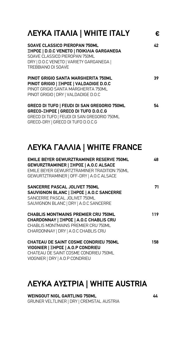| <b><i>ΛΕΥΚΑ ΙΤΑΛΙΑ   WHITE ITALY</i></b>                                                                                                                                             | €  |
|--------------------------------------------------------------------------------------------------------------------------------------------------------------------------------------|----|
| SOAVE CLASSICO PIEROPAN 750ML<br>ΞΗΡΟΣ   D.O.C VENETO   ΠΟΙΚΙΛΙΑ GARGANEGA<br>SOAVE CLASSICO PIEROPAN 750ML<br>DRY   D.O.C VENETO   VARIETY GARGANEGA  <br><b>TREBBIANO DI SOAVE</b> | 42 |
| PINOT GRIGIO SANTA MARGHERITA 750ML<br>PINOT GRIGIO   ΞΗΡΟΣ   VALDADIGE D.O.C<br>PINOT GRIGIO SANTA MARGHERITA 750ML<br>PINOT GRIGIO   DRY   VALDADIGE D.O.C                         | 39 |
| <b>GRECO DI TUFO   FEUDI DI SAN GREGORIO 750ML</b><br>GRECO-ΞΗΡΟΣ   GRECO DI TUFO D.O.C.G<br>GRECO DI TUFO   FEUDI DI SAN GREGORIO 750ML<br>GRECO-DRY   GRECO DI TUFO D.O.C.G        | 54 |

# **ΛΕΥΚΑ ΓΑΛΛΙΑ | WHITE FRANCE**

| <b>EMILE BEYER GEWURZTRAMINER RESERVE 750ML</b><br>GEWURZTRAMINER   ΞΗΡΟΣ   Α.Ο. CALSACE<br>EMILE BEYER GEWURTZTRAMINER TRADITION 750ML                             | 48  |
|---------------------------------------------------------------------------------------------------------------------------------------------------------------------|-----|
| GEWURTZTRAMINER   OFF-DRY   A.O.C ALSACE                                                                                                                            |     |
| <b>SANCERRE PASCAL JOLIVET 750ML</b><br>SAUVIGNON BLANC   ΞΗΡΟΣ   A.O.C SANCERRE<br>SANCERRE PASCAL JOLIVET 750ML<br>SAUVIGNON BLANC   DRY   A.O.C SANCERRE         | 71  |
| <b>CHABLIS MONTMAINS PREMIER CRU 750ML</b><br>CHARDONNAY   ΞΗΡΟΣ   A.O.C CHABLIS CRU<br>CHABLIS MONTMAINS PREMIER CRU 750ML<br>CHARDONNAY   DRY   A.O.C CHABLIS CRU | 119 |
| <b>CHATEAU DE SAINT COSME CONDRIEU 750ML</b><br>VIOGNIER   ΞΗΡΟΣ   A.O.P CONDRIEU<br>CHATEAU DE SAINT COSME CONDRIEU 750ML<br>VIOGNIER   DRY   A.O.P CONDRIEU       | 158 |

## **ΛΕΥΚΑ ΑΥΣΤΡΙΑ | WHITE AUSTRIA**

**WEINGOUT NIGL GARTLING 750ML 44** GRUNER VELTLINER | DRY | CREMSTAL AUSTRIA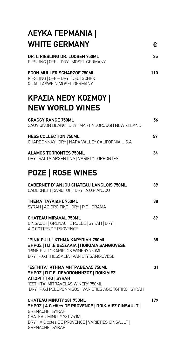# **ΛΕΥΚΑ ΓΕΡΜΑΝΙΑ | WHITE GERMANY €**

| DR. L RIESLING DR. LOOSEN 750ML      | 35 |
|--------------------------------------|----|
| RIESLING   OFF - DRY   MOSEL GERMANY |    |

| <b>EGON MULLER SCHARZOF 750ML</b> | 110 |
|-----------------------------------|-----|
| RIESLING   OFF - DRY   DEUTSCHER  |     |

QUALITASWEIN MOSEL GERMANY

# **KΡΑΣΙΑ ΝΕΟΥ ΚΟΣΜΟΥ | NEW WORLD WINES**

| <b>GRAGGY RANGE 750ML</b><br>SAUVIGNON BLANC   DRY   MARTINBOROUGH NEW ZELAND                                                                                                                | 56  |
|----------------------------------------------------------------------------------------------------------------------------------------------------------------------------------------------|-----|
| <b>HESS COLLECTION 750ML</b><br>CHARDONNAY   DRY   NAPA VALLEY CALIFORNIA U.S.A                                                                                                              | 57  |
| <b>ALAMOS TORRONTES 750ML</b><br>DRY   SALTA ARGENTINA   VARIETY TORRONTES                                                                                                                   | 34  |
| <b>POZE   ROSE WINES</b>                                                                                                                                                                     |     |
| <b>CABERNET D' ANJOU CHATEAU LANGLOIS 750ML</b><br>CABERNET FRANC   OFF DRY   A.O.P ANJOU                                                                                                    | 39  |
| ΤΗΕΜΑ ΠΑΥΛΙΔΗΣ 750ΜL<br>SYRAH   AGIORGITIKO   DRY   P.G.I DRAMA                                                                                                                              | 38  |
| <b>CHATEAU MIRAVAL 750ML</b><br>CINSAULT   GRENACHE ROLLE   SYRAH   DRY  <br>A.C COTTES DE PROVENCE                                                                                          | 69  |
| "PINK PULL" ΚΤΗΜΑ ΚΑΡΥΠΙΔΗ 750ML<br><b>ΞΗΡΟΣ   Π.Γ.Ε ΘΕΣΣΑΛΙΑ   ΠΟΙΚΙΛΙΑ SANGIOVESE</b><br>"PINK PULL" KARIPIDIS WINERY 750ML<br>DRY   P.G.I THESSALIA   VARIETY SANGIOVESE                  | 35  |
| "ESTHITA" ΚΤΗΜΑ ΜΗΤΡΑΒΕΛΑΣ 750ML<br>ΞΗΡΟΣ   Π.Γ.Ε. ΠΕΛΟΠΟΝΝΗΣΟΣ   ΠΟΙΚΙΛΙΕΣ<br><b>ΑΓΙΩΡΓΙΤΙΚΟ   SYRAH</b><br>"ESTHITA" MITRAVELAS WINERY 750ML                                               | 31  |
| DRY   P.G.I PELOPONNISOS   VARIETIES AGIORGITIKO   SYRAH<br><b>CHATEAU MINUTY 281 750ML</b>                                                                                                  | 179 |
| ΞΗΡΟΣ   A.C côtes DE PROVENCE   ΠΟΙΚΙΛΙΕΣ CINSAULT  <br><b>GRENACHE   SYRAH</b><br>CHATEAU MINUTY 281 750ML<br>DRY   A.C côtes DE PROVENCE   VARIETIES CINSAULT  <br><b>GRENACHE   SYRAH</b> |     |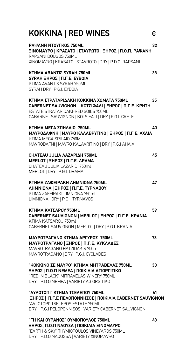| KOKKINA   RED WINES                                                                                                                                                                             | €  |
|-------------------------------------------------------------------------------------------------------------------------------------------------------------------------------------------------|----|
| PAΨANH NTOYΓΚΟΣ 750ML<br>ΞΙΝΟΜΑΥΡΟ   ΚΡΑΣΑΤΟ   ΣΤΑΥΡΩΤΟ   ΞΗΡΟΣ   Π.Ο.Π. ΡΑΨΑΝΗ<br>RAPSANI DOUGOS 750ML<br>XINOMAVRO   KRASATO   STAVROTO   DRY   P.D.O. RAPSANI                                | 32 |
| <b>KTHMA ABANTIZ SYRAH 750ML</b><br>SYRAH ΞΗΡΟΣ   Π.Γ.Ε. ΕΥΒΟΙΑ<br>KTIMA AVANTIS SYRAH 750ML<br>SYRAH DRY   P.G.I. EYBOIA                                                                       | 33 |
| ΚΤΗΜΑ ΣΤΡΑΤΑΡΙΔΑΚΗ ΚΟΚΚΙΝΑ ΧΩΜΑΤΑ 750ML<br>CABERNET SAUVIGNON   ΚΟΤΣΙΦΑΛΙ   ΞΗΡΟΣ   Π.Γ.Ε. ΚΡΗΤΗ<br>ESTATE STRATARIDAKI-RED SOILS 750ML<br>CABARNET SAUVIGNON   KOTSIFALI   DRY   P.G.I. CRETE  | 35 |
| ΚΤΗΜΑ ΜΕΓΑ ΣΠΗΛΑΙΟ 750ΜL<br>ΜΑΥΡΟΔΑΦΝΗ   ΜΑΥΡΟ ΚΑΛΑΒΡΥΤΙΝΟ   ΞΗΡΟΣ   Π.Γ.Ε. ΑΧΑΪΑ<br>KTIMA MEGA SPILAIO 750ML<br>MAVRODAFNI   MAVRO KALAVRITINO   DRY   P.G.I AHAIA                             | 40 |
| CHATEAU JULIA AAZAPIAH 750ML<br><b>ΜΕRLOT   ΞΗΡΟΣ   Π.Γ.Ε. ΔΡΑΜΑ</b><br>CHATEAU JULIA LAZARIDI 750ml<br>MERLOT   DRY   P.G.I. DRAMA                                                             | 45 |
| KTHMA ZAΦEIPAKH ΛΗΜΝΙΩΝΑ 750ML<br>ΛΗΜΝΙΩΝΑ   ΞΗΡΟΣ   Π.Γ.Ε. ΤΥΡΝΑΒΟΥ<br>KTIMA ZAFEIRAKI LIMNIONA 750ml<br>LIMNIONA   DRY   P.G.I. TYRNAVOS                                                      | 47 |
| ΚΤΗΜΑ ΚΑΤΣΑΡΟΥ 750ML<br>CABERNET SAUVIGNON   ΜΕRLOT   ΞΗΡΟΣ   Π.Γ.Ε. ΚΡΑΝΙΑ<br>KTIMA KATSAROU 750ml<br>CABERNET SAUVIGNON   MERLOT   DRY   P.G.I. KRANIA                                        | 59 |
| <b>ΜΑΥΡΟΤΡΑΓΑΝΟ ΚΤΗΜΑ ΑΡΓΥΡΟΣ 750ML</b><br><b>ΜΑΥΡΟΤΡΑΓΑΝΟ   ΞΗΡΟΣ   Π.Γ.Ε. ΚΥΚΛΑΔΕΣ</b><br>MAVROTRAGANO HATZIDAKIS 750ml<br>MAVROTRAGANO   DRY   P.G.I. CYCLADES                               | 73 |
| "ΚΟΚΚΙΝΟ ΣΕ ΜΑΥΡΟ" ΚΤΗΜΑ ΜΗΤΡΑΒΕΛΑΣ 750ML<br>ΞΗΡΟΣ   Π.Ο.Π ΝΕΜΕΑ   ΠΟΙΚΙΛΙΑ ΑΓΙΩΡΓΙΤΙΚΟ<br>"RED IN BLACK" MITRAVELAS WINERY 750ML<br>DRY   P.D.O NEMEA   VARIETY AGIORGITIKO                    | 30 |
| "ΑΥΛΟΤΟΠΙ" ΚΤΗΜΑ ΤΣΕΛΕΠΟΥ 750ΜL<br><b>ΞΗΡΟΣ   Π.Γ.Ε ΠΕΛΟΠΟΝΝΗΣΟΣ   ΠΟΙΚΙΛΙΑ CABERNET SAUVIGNON</b><br>"AVLOTOPI" TSELEPOS ESTATE 750ML<br>DRY   P.G.I PELOPONNISOS   VARIETY CABERNET SAUVIGNON | 61 |
| "ΓΗ ΚΑΙ ΟΥΡΑΝΟΣ" ΘΥΜΙΟΠΟΥΛΟΣ 750ML                                                                                                                                                              | 43 |

**ΞΗΡΟΣ, Π.Ο.Π ΝΑΟΥΣΑ | ΠΟΙΚΙΛΙΑ ΞΙΝΟΜΑΥΡΟ** "EARTH & SKY" THYMIOPOULOS VINEYARDS 750ML DRY | P.D.O NAOUSSA | VARIETY XINOMAVRO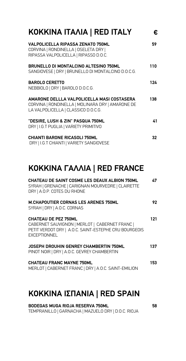| KOKKINA ITAAIA   RED ITALY                                                                                                            | €             |
|---------------------------------------------------------------------------------------------------------------------------------------|---------------|
| <b>VALPOLICELLA RIPASSA ZENATO 750ML</b><br>CORVINA   RONDINELLA   OSELETA DRY  <br>RIPASSA VALPOLICELLA   RIPASSO D.O.C.             | 59            |
| <b>BRUNELLO DI MONTALCINO ALTESINO 750ML</b><br>SANGIOVESE   DRY   BRUNELLO DI MONTALCINO D.O.C.G.                                    | 110           |
| <b>BAROLO CERETTO</b><br>NEBBIOLO   DRY   BAROLO D.O.C.G.                                                                             | 124           |
| AMARONE DELLLA VALPOLICELLA MASI COSTASERA<br>CORVINA   RONDINELLA   MOLINARA DRY   AMARONE DE<br>LA VALPOLICELLA   CLASSICO D.O.C.G. | 138           |
| "DESIRE, LUSH & ZIN" PASQUA 750ML<br>DRY   I.G.T PUGLIA   VARIETY PRIMITIVO                                                           | $\mathbf{41}$ |
| <b>CHIANTI BARONE RICASOLI 750ML</b><br>DRY   I.G.T CHIANTI   VARIETY SANGIOVESE                                                      | 32            |

### **KOKKINA ΓΑΛΛΙΑ | RED FRANCE**

| <b>CHATEAU DE SAINT COSME LES DEAUX ALBION 750ML</b><br>SYRAH   GRENACHE   CARIGNAN MOURVEDRE   CLAIRETTE<br>DRY   A.O.P. COTES DU RHONE                      | 47  |
|---------------------------------------------------------------------------------------------------------------------------------------------------------------|-----|
| <b>M.CHAPOUTIER CORNAS LES ARENES 750ML</b><br>SYRAH   DRY   A.O.C. CORNAS                                                                                    | 92  |
| <b>CHATEAU DE PEZ 750ML</b><br>CABERNET SAUVIGNON   MERLOT   CABERNET FRANC  <br>PETIT VERDOT DRY   A.O.C. SAINT-ESTEPHE CRU BOURGEOIS<br><b>EXCEPTIONNEL</b> | 121 |
| JOSEPH DROUHIN GENREY CHAMBERTIN 750ML<br>PINOT NOIR   DRY   A.O.C. GEVREY CHAMBERTIN                                                                         | 137 |
| <b>CHATEAU FRANC MAYNE 750ML</b><br>MERLOT   CABERNET FRANC   DRY   A.O.C. SAINT-EMILION                                                                      | 153 |

## **KOKKINA ΙΣΠΑΝΙΑ | RED SPAIN**

**BODEGAS MUGA RIOJA RESERVA 750ML 58** TEMPRANILLO | GARNACHA | MAZUELO DRY | D.O.C. RIOJA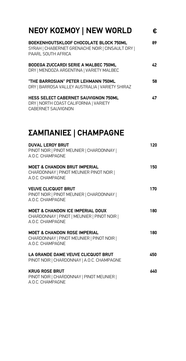| <b>NEOY KOΣMOY   NEW WORLD</b>                                                                                     | €  |
|--------------------------------------------------------------------------------------------------------------------|----|
| BOEKENHOUTSKLOOF CHOCOLATE BLOCK 750ML<br>SYRAH   CHABERNET GRENACHE NOIR   CINSAULT DRY  <br>PAARL SOUTH AFRICA   | 89 |
| BODEGA ZUCCARDI SERIE A MALBEC 750ML<br>DRY   MENDOZA ARGENTINA   VARIETY MALBEC                                   | 42 |
| "THE BARROSIAN" PETER LEHMANN 750ML<br>DRY   BARROSA VALLEY AUSTRALIA   VARIETY SHIRAZ                             | 58 |
| <b>HESS SELECT CABERNET SAUVIGNON 750ML</b><br>DRY   NORTH COAST CALIFORNIA   VARIETY<br><b>CABERNET SAUVIGNON</b> | 47 |

# **ΣΑΜΠΑΝΙΕΣ | CHAMPAGNE**

| <b>DUVAL LEROY BRUT</b><br>PINOT NOIR   PINOT MEUNIER   CHARDONNAY  <br>A.O.C. CHAMPAGNE                      | 120 |
|---------------------------------------------------------------------------------------------------------------|-----|
| <b>MOET &amp; CHANDON BRUT IMPERIAL</b><br>CHARDONNAY   PINOT MEUNIER PINOT NOIR  <br>A.O.C. CHAMPAGNE        | 150 |
| <b>VEUVE CLICQUOT BRUT</b><br>PINOT NOIR   PINOT MEUNIER   CHARDONNAY  <br>A.O.C. CHAMPAGNE                   | 170 |
| <b>MOET &amp; CHANDON ICE IMPERIAL DOUX</b><br>CHARDONNAY   PINOT   MEUNIER   PINOT NOIR  <br>A O C CHAMPAGNE | 180 |
| <b>MOET &amp; CHANDON ROSE IMPERIAL</b><br>CHARDONNAY   PINOT MEUNIER   PINOT NOIR  <br>A.O.C. CHAMPAGNE      | 180 |
| LA GRANDE DAME VEUVE CLICQUOT BRUT<br>PINOT NOIR   CHARDONNAY   A.O.C. CHAMPAGNE                              | 450 |
| <b>KRUG ROSE BRUT</b><br>PINOT NOIR   CHARDONNAY   PINOT MEUNIER  <br>A.O.C. CHAMPAGNE                        | 640 |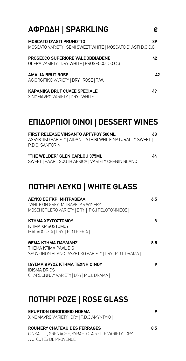## **ΑΦΡΩ∆Η | SPARKLING € MOSCATO D'ASTI PRUNOTTO 39** MOSCATO VARIETY | SEMI SWEET WHITE | MOSCATO D' ASTI D.O.C.G. **PROSECCO SUPERIORE VALDOBBIADENE 42** GLERA VARIETY | DRY WHITE | PROSECCO D.O.C.G.

AMALIA BRUT ROSE 42 AGIORGITIKO VARIETY | DRY | ROSE | T.W.

#### **KAPANIKA BRUT CUVEE SPECIALE 49**

XINOMAVRO VARIETY | DRY | WHITE

# **ΕΠΙ∆ΟΡΠΙΟΙ ΟΙΝΟΙ | DESSERT WINES**

| <b>FIRST RELEASE VINSANTO APTYPOY 500ML</b>               | 68 |
|-----------------------------------------------------------|----|
| ASSYRTIKO VARIETY   AIDANI   ATHIRI WHITE NATURALLY SWEET |    |
| PDO SANTORINI                                             |    |
|                                                           |    |

**"THE WELDER" GLEN CARLOU 375ML 44** SWEET | PAARL SOUTH AFRICA | VARIETY CHENIN BLANC

## **ΠΟΤΗΡΙ ΛΕΥΚΟ | WHITE GLASS**

| ΛΕΥΚΟ ΣΕ ΓΚΡΙ ΜΗΤΡΑΒΕΛΑ<br>"WHITE ON GREY" MITRAVELAS WINERY | 6.5 |
|--------------------------------------------------------------|-----|
| MOSCHOFILERO VARIETY   DRY   P.G.I PELOPONNISOS              |     |
| ΚΤΗΜΑ ΧΡΥΣΟΣΤΟΜΟΥ                                            | 8   |
| KTIMA XRISOSTOMOY<br>MALAGOUZIA   DRY   P.G.I PIERIA         |     |
| ΘΕΜΑ ΚΤΗΜΑ ΠΑΥΛΙΔΗΣ                                          | 85  |
| THEMA KTIMA PAVI IDIS                                        |     |
| SAUVIGNON BLANC   ASYRTIKO VARIETY   DRY   P.G.I. DRAMA      |     |
| ΙΔΥΣΜΑ ΔΡΥΟΣ ΚΤΗΜΑ ΤΕΧΝΗ ΟΙΝΟΥ                               | 9   |
| <b>IDISMA DRIOS</b>                                          |     |
| CHARDONNAY VARIETY   DRY   P.G.I. DRAMA                      |     |
|                                                              |     |

# **ΠΟΤΗΡΙ ΡΟΖΕ | ROSE GLASS**

| ERUPTION OINONOIEIO NOEMA<br>XINOMAVRO VARIETY   DRY   P.D.O AMYNTAIO                                          |     |
|----------------------------------------------------------------------------------------------------------------|-----|
| ROUMERY CHATEAU DES FERRAGES<br>CINSAULT, GRENACHE, SYRAH, CLAIRETTE VARIETY   DRY  <br>A.O. COTES DE PROVENCE | 8.5 |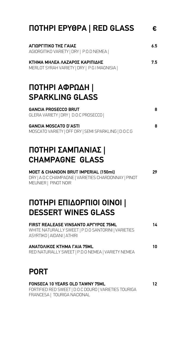| <b>NOTHPI EPYOPA   RED GLASS</b>                                                                                                 | €   |
|----------------------------------------------------------------------------------------------------------------------------------|-----|
| ΑΓΙΩΡΓΙΤΙΚΟ ΤΗΣ ΓΑΙΑΣ<br>AGIORGITIKO VARIETY   DRY   P.O.D NEMEA                                                                 | 6.5 |
| ΚΤΗΜΑ ΜΗΛΕΑ ΛΑΖΑΡΟΣ ΚΑΡΙΠΙΔΗΣ<br>MERLOT SYRAH VARIETY   DRY   P.G.I MAGNISIA                                                     | 7.5 |
| ΠΟΤΗΡΙ ΑΦΡΩΔΗ  <br><b>SPARKLING GLASS</b>                                                                                        |     |
| <b>GANCIA PROSECCO BRUT</b><br>GLERA VARIETY   DRY   D.O.C PROSECCO                                                              | 8   |
| <b>GANCIA MOSCATO D'ASTI</b><br>MOSCATO VARIETY   OFF DRY   SEMI SPARKLING   D.O.C.G                                             | 8   |
| ΠΟΤΗΡΙ ΣΑΜΠΑΝΙΑΣ  <br><b>CHAMPAGNE GLASS</b>                                                                                     |     |
| MOET & CHANDON BRUT IMPERIAL (150ml)<br>DRY   A.O.C CHAMPAGNE   VARIETIES CHARDONNAY   PINOT<br>MEUNIER   PINOT NOIR             | 29  |
| ΠΟΤΗΡΙ ΕΠΙΔΟΡΠΙΟΙ ΟΙΝΟΙ  <br><b>DESSERT WINES GLASS</b>                                                                          |     |
| <b>FIRST REALEASE VINSANTO APTYPOZ 75ML</b><br>WHITE NATURALLY SWEET   P.D.O SANTORINI   VARIETIES<br>ASYRTIKO   AIDANI   ATHIRI | 14  |
| <b>ΑΝΑΤΟΛΙΚΟΣ ΚΤΗΜΑ ΓΑΙΑ 75ΜL</b><br>RED NATURALLY SWEET   P.D.O NEMEA   VARIETY NEMEA                                           | 10  |
| <b>PORT</b>                                                                                                                      |     |
| <b>FONSECA 10 YEARS OLD TAWNY 75ML</b><br>FORTIFIED RED SWEET   D.O.C DOURO   VARIETIES TOURIGA                                  | 12  |

FRANCESA | TOURIGA NACIONAL